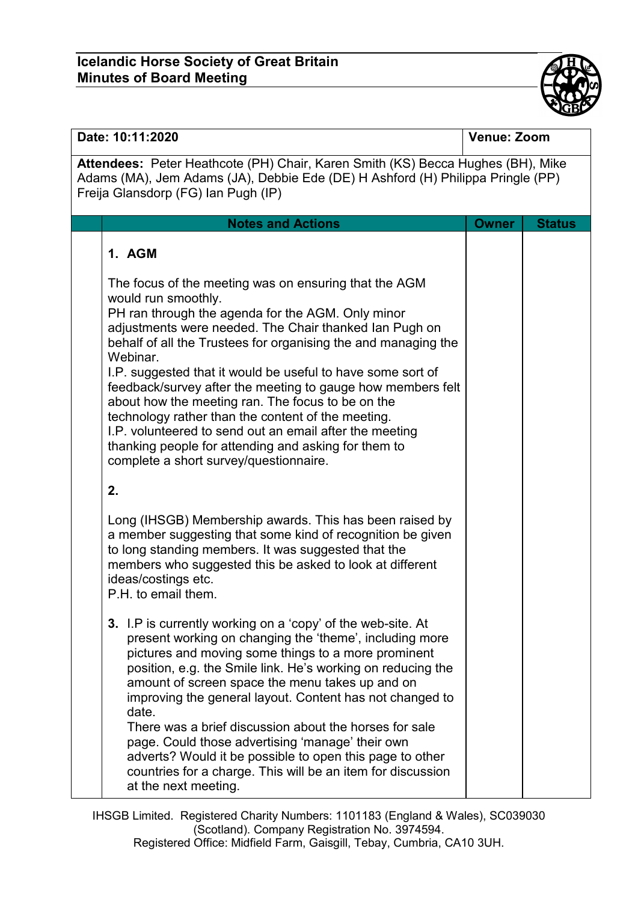

| Date: 10:11:2020                                                                                                                                                                                          |                                                                                                                                                                                                                                                                                                                                                                                                                                                                                                                                                                                                                                                                                 | <b>Venue: Zoom</b> |               |  |
|-----------------------------------------------------------------------------------------------------------------------------------------------------------------------------------------------------------|---------------------------------------------------------------------------------------------------------------------------------------------------------------------------------------------------------------------------------------------------------------------------------------------------------------------------------------------------------------------------------------------------------------------------------------------------------------------------------------------------------------------------------------------------------------------------------------------------------------------------------------------------------------------------------|--------------------|---------------|--|
| Attendees: Peter Heathcote (PH) Chair, Karen Smith (KS) Becca Hughes (BH), Mike<br>Adams (MA), Jem Adams (JA), Debbie Ede (DE) H Ashford (H) Philippa Pringle (PP)<br>Freija Glansdorp (FG) Ian Pugh (IP) |                                                                                                                                                                                                                                                                                                                                                                                                                                                                                                                                                                                                                                                                                 |                    |               |  |
|                                                                                                                                                                                                           | <b>Notes and Actions</b>                                                                                                                                                                                                                                                                                                                                                                                                                                                                                                                                                                                                                                                        | <b>Owner</b>       | <b>Status</b> |  |
|                                                                                                                                                                                                           | 1. AGM                                                                                                                                                                                                                                                                                                                                                                                                                                                                                                                                                                                                                                                                          |                    |               |  |
|                                                                                                                                                                                                           | The focus of the meeting was on ensuring that the AGM<br>would run smoothly.<br>PH ran through the agenda for the AGM. Only minor<br>adjustments were needed. The Chair thanked Ian Pugh on<br>behalf of all the Trustees for organising the and managing the<br>Webinar.<br>I.P. suggested that it would be useful to have some sort of<br>feedback/survey after the meeting to gauge how members felt<br>about how the meeting ran. The focus to be on the<br>technology rather than the content of the meeting.<br>I.P. volunteered to send out an email after the meeting<br>thanking people for attending and asking for them to<br>complete a short survey/questionnaire. |                    |               |  |
|                                                                                                                                                                                                           | 2.                                                                                                                                                                                                                                                                                                                                                                                                                                                                                                                                                                                                                                                                              |                    |               |  |
|                                                                                                                                                                                                           | Long (IHSGB) Membership awards. This has been raised by<br>a member suggesting that some kind of recognition be given<br>to long standing members. It was suggested that the<br>members who suggested this be asked to look at different<br>ideas/costings etc.<br>P.H. to email them.                                                                                                                                                                                                                                                                                                                                                                                          |                    |               |  |
|                                                                                                                                                                                                           | 3. I.P is currently working on a 'copy' of the web-site. At<br>present working on changing the 'theme', including more<br>pictures and moving some things to a more prominent<br>position, e.g. the Smile link. He's working on reducing the<br>amount of screen space the menu takes up and on<br>improving the general layout. Content has not changed to<br>date.<br>There was a brief discussion about the horses for sale<br>page. Could those advertising 'manage' their own<br>adverts? Would it be possible to open this page to other<br>countries for a charge. This will be an item for discussion<br>at the next meeting.                                           |                    |               |  |

IHSGB Limited. Registered Charity Numbers: 1101183 (England & Wales), SC039030 (Scotland). Company Registration No. 3974594. Registered Office: Midfield Farm, Gaisgill, Tebay, Cumbria, CA10 3UH.